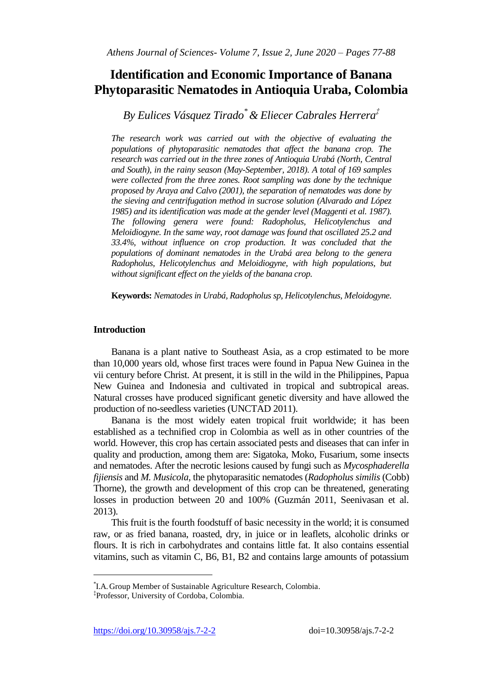# **Identification and Economic Importance of Banana Phytoparasitic Nematodes in Antioquia Uraba, Colombia**

*By Eulices Vásquez Tirado\* & Eliecer Cabrales Herrera‡*

*The research work was carried out with the objective of evaluating the populations of phytoparasitic nematodes that affect the banana crop. The research was carried out in the three zones of Antioquia Urabá (North, Central and South), in the rainy season (May-September, 2018). A total of 169 samples were collected from the three zones. Root sampling was done by the technique proposed by Araya and Calvo (2001), the separation of nematodes was done by the sieving and centrifugation method in sucrose solution (Alvarado and López 1985) and its identification was made at the gender level (Maggenti et al. 1987). The following genera were found: Radopholus, Helicotylenchus and Meloidiogyne. In the same way, root damage was found that oscillated 25.2 and 33.4%, without influence on crop production. It was concluded that the populations of dominant nematodes in the Urabá area belong to the genera Radopholus, Helicotylenchus and Meloidiogyne, with high populations, but without significant effect on the yields of the banana crop.*

**Keywords:** *Nematodes in Urabá, Radopholus sp, Helicotylenchus, Meloidogyne.*

# **Introduction**

Banana is a plant native to Southeast Asia, as a crop estimated to be more than 10,000 years old, whose first traces were found in Papua New Guinea in the vii century before Christ. At present, it is still in the wild in the Philippines, Papua New Guinea and Indonesia and cultivated in tropical and subtropical areas. Natural crosses have produced significant genetic diversity and have allowed the production of no-seedless varieties (UNCTAD 2011).

Banana is the most widely eaten tropical fruit worldwide; it has been established as a technified crop in Colombia as well as in other countries of the world. However, this crop has certain associated pests and diseases that can infer in quality and production, among them are: Sigatoka, Moko, Fusarium, some insects and nematodes. After the necrotic lesions caused by fungi such as *Mycosphaderella fijiensis* and *M. Musicola*, the phytoparasitic nematodes (*Radopholus similis* (Cobb) Thorne), the growth and development of this crop can be threatened, generating losses in production between 20 and 100% (Guzmán 2011, Seenivasan et al. 2013).

This fruit is the fourth foodstuff of basic necessity in the world; it is consumed raw, or as fried banana, roasted, dry, in juice or in leaflets, alcoholic drinks or flours. It is rich in carbohydrates and contains little fat. It also contains essential vitamins, such as vitamin C, B6, B1, B2 and contains large amounts of potassium

 $\overline{a}$ 

<sup>\*</sup> I.A.Group Member of Sustainable Agriculture Research, Colombia.

<sup>‡</sup> Professor, University of Cordoba, Colombia.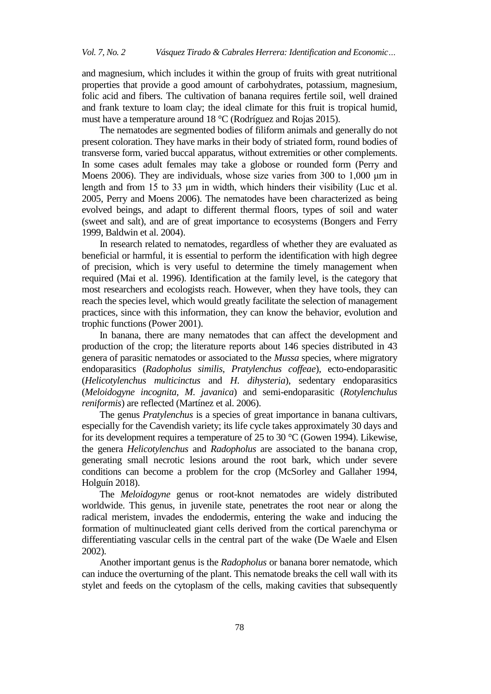and magnesium, which includes it within the group of fruits with great nutritional properties that provide a good amount of carbohydrates, potassium, magnesium, folic acid and fibers. The cultivation of banana requires fertile soil, well drained and frank texture to loam clay; the ideal climate for this fruit is tropical humid, must have a temperature around 18 °C (Rodríguez and Rojas 2015).

The nematodes are segmented bodies of filiform animals and generally do not present coloration. They have marks in their body of striated form, round bodies of transverse form, varied buccal apparatus, without extremities or other complements. In some cases adult females may take a globose or rounded form (Perry and Moens 2006). They are individuals, whose size varies from 300 to 1,000 μm in length and from 15 to 33 μm in width, which hinders their visibility (Luc et al. 2005, Perry and Moens 2006). The nematodes have been characterized as being evolved beings, and adapt to different thermal floors, types of soil and water (sweet and salt), and are of great importance to ecosystems (Bongers and Ferry 1999, Baldwin et al. 2004).

In research related to nematodes, regardless of whether they are evaluated as beneficial or harmful, it is essential to perform the identification with high degree of precision, which is very useful to determine the timely management when required (Mai et al. 1996). Identification at the family level, is the category that most researchers and ecologists reach. However, when they have tools, they can reach the species level, which would greatly facilitate the selection of management practices, since with this information, they can know the behavior, evolution and trophic functions (Power 2001).

In banana, there are many nematodes that can affect the development and production of the crop; the literature reports about 146 species distributed in 43 genera of parasitic nematodes or associated to the *Mussa* species, where migratory endoparasitics (*Radopholus similis, Pratylenchus coffeae*)*,* ecto-endoparasitic (*Helicotylenchus multicinctus* and *H*. *dihysteria*), sedentary endoparasitics (*Meloidogyne incognita, M*. *javanica*) and semi-endoparasitic (*Rotylenchulus reniformis*) are reflected (Martínez et al. 2006).

The genus *Pratylenchus* is a species of great importance in banana cultivars, especially for the Cavendish variety; its life cycle takes approximately 30 days and for its development requires a temperature of 25 to 30 °C (Gowen 1994). Likewise, the genera *Helicotylenchus* and *Radopholus* are associated to the banana crop, generating small necrotic lesions around the root bark, which under severe conditions can become a problem for the crop (McSorley and Gallaher 1994, Holguín 2018).

The *Meloidogyne* genus or root-knot nematodes are widely distributed worldwide. This genus, in juvenile state, penetrates the root near or along the radical meristem, invades the endodermis, entering the wake and inducing the formation of multinucleated giant cells derived from the cortical parenchyma or differentiating vascular cells in the central part of the wake (De Waele and Elsen 2002).

Another important genus is the *Radopholus* or banana borer nematode, which can induce the overturning of the plant. This nematode breaks the cell wall with its stylet and feeds on the cytoplasm of the cells, making cavities that subsequently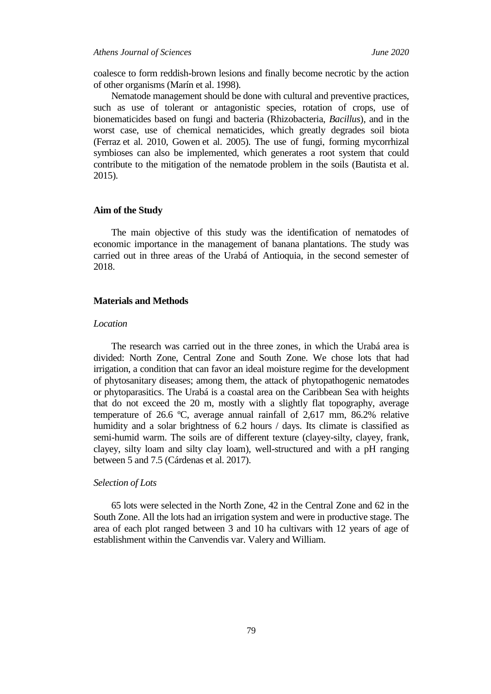*Athens Journal of Sciences June 2020*

coalesce to form reddish-brown lesions and finally become necrotic by the action of other organisms (Marín et al. 1998).

Nematode management should be done with cultural and preventive practices, such as use of tolerant or antagonistic species, rotation of crops, use of bionematicides based on fungi and bacteria (Rhizobacteria, *Bacillus*), and in the worst case, use of chemical nematicides, which greatly degrades soil biota (Ferraz et al. 2010, Gowen et al. 2005). The use of fungi, forming mycorrhizal symbioses can also be implemented, which generates a root system that could contribute to the mitigation of the nematode problem in the soils (Bautista et al. 2015).

## **Aim of the Study**

The main objective of this study was the identification of nematodes of economic importance in the management of banana plantations. The study was carried out in three areas of the Urabá of Antioquia, in the second semester of 2018.

# **Materials and Methods**

#### *Location*

The research was carried out in the three zones, in which the Urabá area is divided: North Zone, Central Zone and South Zone. We chose lots that had irrigation, a condition that can favor an ideal moisture regime for the development of phytosanitary diseases; among them, the attack of phytopathogenic nematodes or phytoparasitics. The Urabá is a coastal area on the Caribbean Sea with heights that do not exceed the 20 m, mostly with a slightly flat topography, average temperature of 26.6 ºC, average annual rainfall of 2,617 mm, 86.2% relative humidity and a solar brightness of 6.2 hours / days. Its climate is classified as semi-humid warm. The soils are of different texture (clayey-silty, clayey, frank, clayey, silty loam and silty clay loam), well-structured and with a pH ranging between 5 and 7.5 (Cárdenas et al. 2017).

#### *Selection of Lots*

65 lots were selected in the North Zone, 42 in the Central Zone and 62 in the South Zone. All the lots had an irrigation system and were in productive stage. The area of each plot ranged between 3 and 10 ha cultivars with 12 years of age of establishment within the Canvendis var. Valery and William.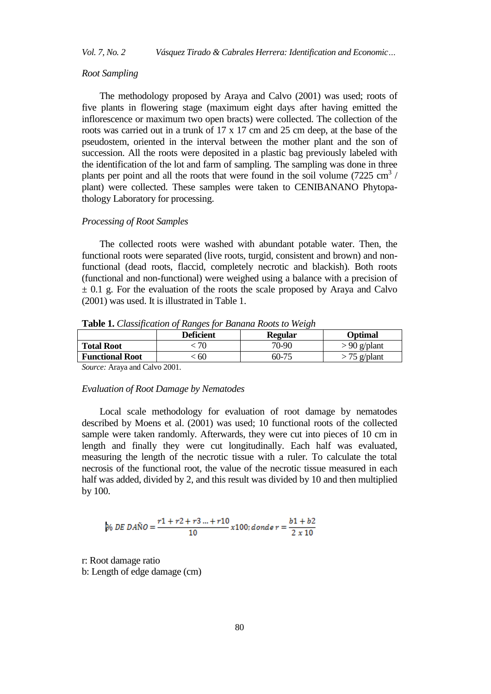# *Vol. 7, No. 2 Vásquez Tirado & Cabrales Herrera: Identification and Economic…*

# *Root Sampling*

The methodology proposed by Araya and Calvo (2001) was used; roots of five plants in flowering stage (maximum eight days after having emitted the inflorescence or maximum two open bracts) were collected. The collection of the roots was carried out in a trunk of 17 x 17 cm and 25 cm deep, at the base of the pseudostem, oriented in the interval between the mother plant and the son of succession. All the roots were deposited in a plastic bag previously labeled with the identification of the lot and farm of sampling. The sampling was done in three plants per point and all the roots that were found in the soil volume  $(7225 \text{ cm}^3)$ plant) were collected. These samples were taken to CENIBANANO Phytopathology Laboratory for processing.

# *Processing of Root Samples*

The collected roots were washed with abundant potable water. Then, the functional roots were separated (live roots, turgid, consistent and brown) and nonfunctional (dead roots, flaccid, completely necrotic and blackish). Both roots (functional and non-functional) were weighed using a balance with a precision of  $\pm$  0.1 g. For the evaluation of the roots the scale proposed by Araya and Calvo (2001) was used. It is illustrated in Table 1.

**Table 1.** *Classification of Ranges for Banana Roots to Weigh* 

|                        | <b>Deficient</b> | <b>Regular</b> | Optimal        |
|------------------------|------------------|----------------|----------------|
| <b>Total Root</b>      | 70               | 70-90          | $> 90$ g/plant |
| <b>Functional Root</b> | 60               | 60-75          | $>$ 75 g/plant |

*Source:* Araya and Calvo 2001.

# *Evaluation of Root Damage by Nematodes*

Local scale methodology for evaluation of root damage by nematodes described by Moens et al. (2001) was used; 10 functional roots of the collected sample were taken randomly. Afterwards, they were cut into pieces of 10 cm in length and finally they were cut longitudinally. Each half was evaluated, measuring the length of the necrotic tissue with a ruler. To calculate the total necrosis of the functional root, the value of the necrotic tissue measured in each half was added, divided by 2, and this result was divided by 10 and then multiplied by 100.

% *DE DAÑO* = 
$$
\frac{r1 + r2 + r3 ... + r10}{10} x100; \text{donde } r = \frac{b1 + b2}{2 \times 10}
$$

r: Root damage ratio b: Length of edge damage (cm)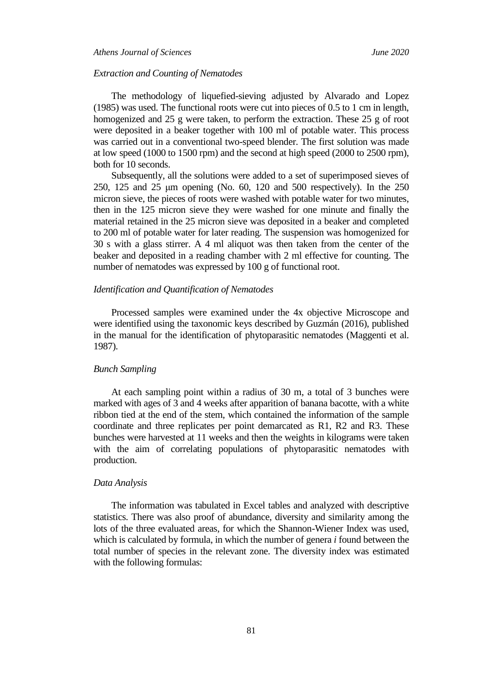# *Athens Journal of Sciences June 2020*

# *Extraction and Counting of Nematodes*

The methodology of liquefied-sieving adjusted by Alvarado and Lopez (1985) was used. The functional roots were cut into pieces of 0.5 to 1 cm in length, homogenized and 25 g were taken, to perform the extraction. These 25 g of root were deposited in a beaker together with 100 ml of potable water. This process was carried out in a conventional two-speed blender. The first solution was made at low speed (1000 to 1500 rpm) and the second at high speed (2000 to 2500 rpm), both for 10 seconds.

Subsequently, all the solutions were added to a set of superimposed sieves of 250, 125 and 25 μm opening (No. 60, 120 and 500 respectively). In the 250 micron sieve, the pieces of roots were washed with potable water for two minutes, then in the 125 micron sieve they were washed for one minute and finally the material retained in the 25 micron sieve was deposited in a beaker and completed to 200 ml of potable water for later reading. The suspension was homogenized for 30 s with a glass stirrer. A 4 ml aliquot was then taken from the center of the beaker and deposited in a reading chamber with 2 ml effective for counting. The number of nematodes was expressed by 100 g of functional root.

#### *Identification and Quantification of Nematodes*

Processed samples were examined under the 4x objective Microscope and were identified using the taxonomic keys described by Guzmán (2016), published in the manual for the identification of phytoparasitic nematodes (Maggenti et al. 1987).

#### *Bunch Sampling*

At each sampling point within a radius of 30 m, a total of 3 bunches were marked with ages of 3 and 4 weeks after apparition of banana bacotte, with a white ribbon tied at the end of the stem, which contained the information of the sample coordinate and three replicates per point demarcated as R1, R2 and R3. These bunches were harvested at 11 weeks and then the weights in kilograms were taken with the aim of correlating populations of phytoparasitic nematodes with production.

# *Data Analysis*

The information was tabulated in Excel tables and analyzed with descriptive statistics. There was also proof of abundance, diversity and similarity among the lots of the three evaluated areas, for which the Shannon-Wiener Index was used, which is calculated by formula, in which the number of genera *i* found between the total number of species in the relevant zone. The diversity index was estimated with the following formulas: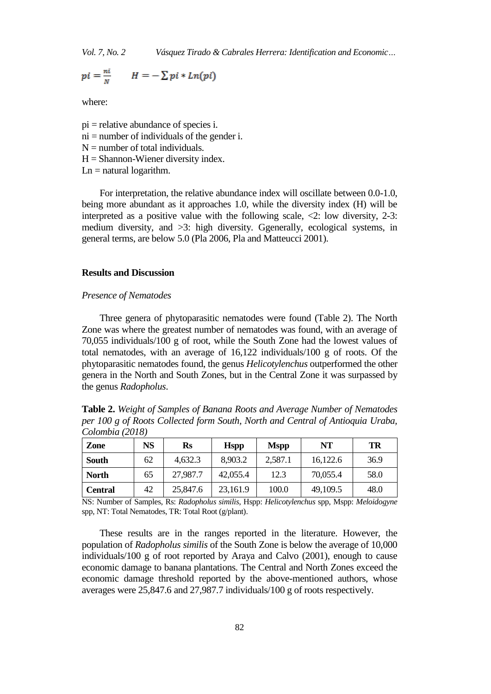*Vol. 7, No. 2 Vásquez Tirado & Cabrales Herrera: Identification and Economic…*

$$
pi = \frac{ni}{N} \qquad H = -\sum pi * Ln(pi)
$$

where:

 $pi$  = relative abundance of species i.  $ni =$  number of individuals of the gender i.

- $N =$  number of total individuals.
- $H =$ Shannon-Wiener diversity index.
- $Ln =$  natural logarithm.

For interpretation, the relative abundance index will oscillate between 0.0-1.0, being more abundant as it approaches 1.0, while the diversity index (H) will be interpreted as a positive value with the following scale, <2: low diversity, 2-3: medium diversity, and >3: high diversity. Ggenerally, ecological systems, in general terms, are below 5.0 (Pla 2006, Pla and Matteucci 2001).

#### **Results and Discussion**

#### *Presence of Nematodes*

Three genera of phytoparasitic nematodes were found (Table 2). The North Zone was where the greatest number of nematodes was found, with an average of 70,055 individuals/100 g of root, while the South Zone had the lowest values of total nematodes, with an average of 16,122 individuals/100 g of roots. Of the phytoparasitic nematodes found, the genus *Helicotylenchus* outperformed the other genera in the North and South Zones, but in the Central Zone it was surpassed by the genus *Radopholus*.

**Table 2.** *Weight of Samples of Banana Roots and Average Number of Nematodes per 100 g of Roots Collected form South, North and Central of Antioquia Uraba, Colombia (2018)*

| <b>Zone</b>    | NS | $\mathbf{Rs}$ | <b>Hspp</b> | <b>Mspp</b> | NT       | TR   |
|----------------|----|---------------|-------------|-------------|----------|------|
| South          | 62 | 4.632.3       | 8.903.2     | 2.587.1     | 16,122.6 | 36.9 |
| <b>North</b>   | 65 | 27,987.7      | 42,055.4    | 12.3        | 70,055.4 | 58.0 |
| <b>Central</b> | 42 | 25,847.6      | 23,161.9    | 100.0       | 49,109.5 | 48.0 |

NS: Number of Samples, Rs: *Radopholus similis*, Hspp: *Helicotylenchus* spp, Mspp: *Meloidogyne*  spp, NT: Total Nematodes, TR: Total Root (g/plant).

These results are in the ranges reported in the literature. However, the population of *Radopholus similis* of the South Zone is below the average of 10,000 individuals/100 g of root reported by Araya and Calvo (2001), enough to cause economic damage to banana plantations. The Central and North Zones exceed the economic damage threshold reported by the above-mentioned authors, whose averages were 25,847.6 and 27,987.7 individuals/100 g of roots respectively.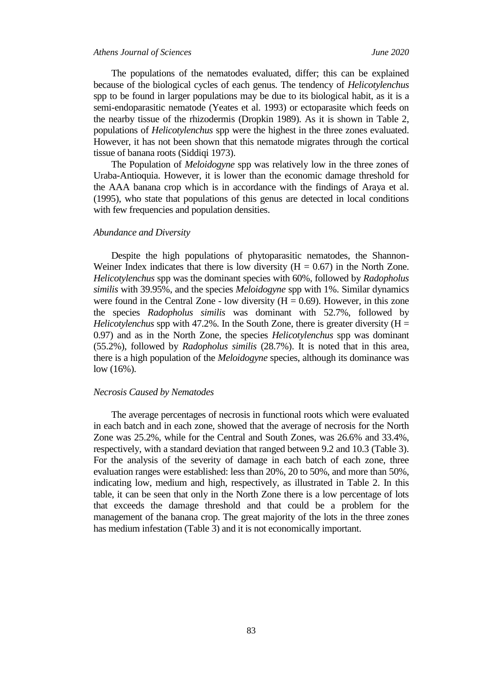#### *Athens Journal of Sciences June 2020*

The populations of the nematodes evaluated, differ; this can be explained because of the biological cycles of each genus. The tendency of *Helicotylenchus* spp to be found in larger populations may be due to its biological habit, as it is a semi-endoparasitic nematode (Yeates et al. 1993) or ectoparasite which feeds on the nearby tissue of the rhizodermis (Dropkin 1989). As it is shown in Table 2, populations of *Helicotylenchus* spp were the highest in the three zones evaluated. However, it has not been shown that this nematode migrates through the cortical tissue of banana roots (Siddiqi 1973).

The Population of *Meloidogyne* spp was relatively low in the three zones of Uraba-Antioquia. However, it is lower than the economic damage threshold for the AAA banana crop which is in accordance with the findings of Araya et al. (1995), who state that populations of this genus are detected in local conditions with few frequencies and population densities.

#### *Abundance and Diversity*

Despite the high populations of phytoparasitic nematodes, the Shannon-Weiner Index indicates that there is low diversity  $(H = 0.67)$  in the North Zone. *Helicotylenchus* spp was the dominant species with 60%, followed by *Radopholus similis* with 39.95%, and the species *Meloidogyne* spp with 1%. Similar dynamics were found in the Central Zone - low diversity  $(H = 0.69)$ . However, in this zone the species *Radopholus similis* was dominant with 52.7%, followed by *Helicotylenchus* spp with 47.2%. In the South Zone, there is greater diversity (H = 0.97) and as in the North Zone, the species *Helicotylenchus* spp was dominant (55.2%), followed by *Radopholus similis* (28.7%). It is noted that in this area, there is a high population of the *Meloidogyne* species, although its dominance was low (16%).

# *Necrosis Caused by Nematodes*

The average percentages of necrosis in functional roots which were evaluated in each batch and in each zone, showed that the average of necrosis for the North Zone was 25.2%, while for the Central and South Zones, was 26.6% and 33.4%, respectively, with a standard deviation that ranged between 9.2 and 10.3 (Table 3). For the analysis of the severity of damage in each batch of each zone, three evaluation ranges were established: less than 20%, 20 to 50%, and more than 50%, indicating low, medium and high, respectively, as illustrated in Table 2. In this table, it can be seen that only in the North Zone there is a low percentage of lots that exceeds the damage threshold and that could be a problem for the management of the banana crop. The great majority of the lots in the three zones has medium infestation (Table 3) and it is not economically important.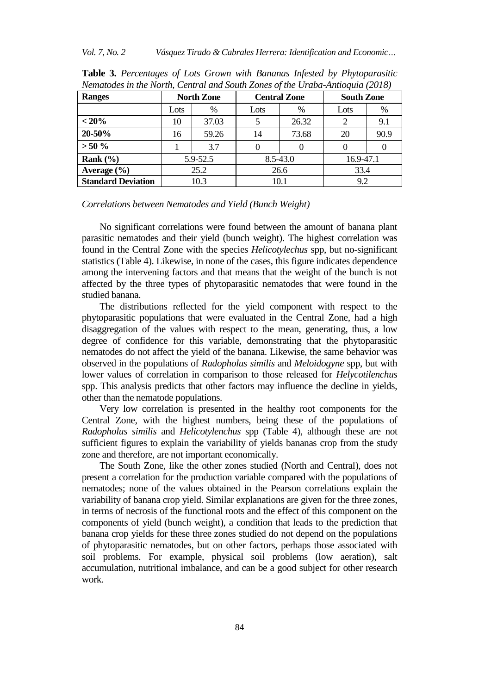| <b>Ranges</b>             | <b>North Zone</b> |       | <b>Central Zone</b> | <b>South Zone</b> |                |      |
|---------------------------|-------------------|-------|---------------------|-------------------|----------------|------|
|                           | Lots              | $\%$  | Lots                | $\%$              | Lots           | %    |
| $< 20\%$                  | 10                | 37.03 |                     | 26.32             | $\overline{c}$ | 9.1  |
| 20-50%                    | 16                | 59.26 | 14                  | 73.68             | 20             | 90.9 |
| $> 50 \%$                 |                   | 3.7   |                     |                   |                |      |
| Rank $(\% )$              | 5.9-52.5          |       | $8.5 - 43.0$        |                   | 16.9-47.1      |      |
| Average $(\% )$           | 25.2              |       | 26.6                |                   | 33.4           |      |
| <b>Standard Deviation</b> | 10.3              |       | 10.1                |                   | 9.2            |      |

**Table 3.** *Percentages of Lots Grown with Bananas Infested by Phytoparasitic Nematodes in the North, Central and South Zones of the Uraba-Antioquia (2018)*

#### *Correlations between Nematodes and Yield (Bunch Weight)*

No significant correlations were found between the amount of banana plant parasitic nematodes and their yield (bunch weight). The highest correlation was found in the Central Zone with the species *Helicotylechus* spp, but no-significant statistics (Table 4). Likewise, in none of the cases, this figure indicates dependence among the intervening factors and that means that the weight of the bunch is not affected by the three types of phytoparasitic nematodes that were found in the studied banana.

The distributions reflected for the yield component with respect to the phytoparasitic populations that were evaluated in the Central Zone, had a high disaggregation of the values with respect to the mean, generating, thus, a low degree of confidence for this variable, demonstrating that the phytoparasitic nematodes do not affect the yield of the banana. Likewise, the same behavior was observed in the populations of *Radopholus similis* and *Meloidogyne* spp, but with lower values of correlation in comparison to those released for *Helycotilenchus* spp. This analysis predicts that other factors may influence the decline in yields, other than the nematode populations.

Very low correlation is presented in the healthy root components for the Central Zone, with the highest numbers, being these of the populations of *Radopholus similis* and *Helicotylenchus* spp (Table 4), although these are not sufficient figures to explain the variability of yields bananas crop from the study zone and therefore, are not important economically.

The South Zone, like the other zones studied (North and Central), does not present a correlation for the production variable compared with the populations of nematodes; none of the values obtained in the Pearson correlations explain the variability of banana crop yield. Similar explanations are given for the three zones, in terms of necrosis of the functional roots and the effect of this component on the components of yield (bunch weight), a condition that leads to the prediction that banana crop yields for these three zones studied do not depend on the populations of phytoparasitic nematodes, but on other factors, perhaps those associated with soil problems. For example, physical soil problems (low aeration), salt accumulation, nutritional imbalance, and can be a good subject for other research work.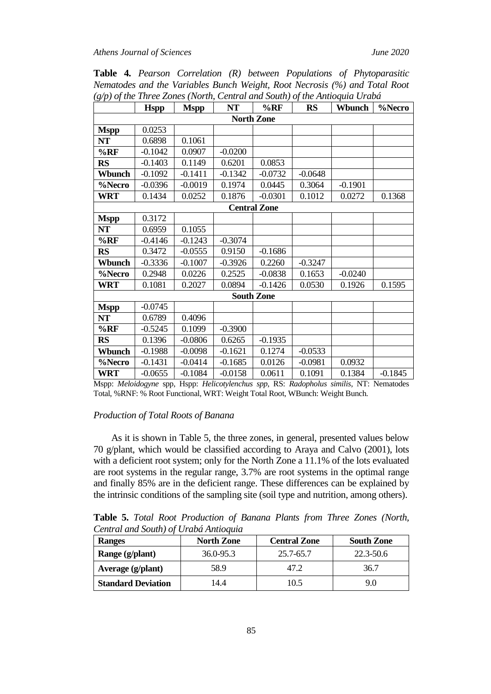|                   | <b>Hspp</b>         | <b>Mspp</b> | <b>NT</b> | $%$ <sub>RF</sub> | <b>RS</b> | Wbunch    | %Necro    |  |
|-------------------|---------------------|-------------|-----------|-------------------|-----------|-----------|-----------|--|
| <b>North Zone</b> |                     |             |           |                   |           |           |           |  |
| <b>Mspp</b>       | 0.0253              |             |           |                   |           |           |           |  |
| NT                | 0.6898              | 0.1061      |           |                   |           |           |           |  |
| $%$ RF            | $-0.1042$           | 0.0907      | $-0.0200$ |                   |           |           |           |  |
| <b>RS</b>         | $-0.1403$           | 0.1149      | 0.6201    | 0.0853            |           |           |           |  |
| Wbunch            | $-0.1092$           | $-0.1411$   | $-0.1342$ | $-0.0732$         | $-0.0648$ |           |           |  |
| %Necro            | $-0.0396$           | $-0.0019$   | 0.1974    | 0.0445            | 0.3064    | $-0.1901$ |           |  |
| <b>WRT</b>        | 0.1434              | 0.0252      | 0.1876    | $-0.0301$         | 0.1012    | 0.0272    | 0.1368    |  |
|                   | <b>Central Zone</b> |             |           |                   |           |           |           |  |
| <b>Mspp</b>       | 0.3172              |             |           |                   |           |           |           |  |
| <b>NT</b>         | 0.6959              | 0.1055      |           |                   |           |           |           |  |
| $%$ <sub>RF</sub> | $-0.4146$           | $-0.1243$   | $-0.3074$ |                   |           |           |           |  |
| <b>RS</b>         | 0.3472              | $-0.0555$   | 0.9150    | $-0.1686$         |           |           |           |  |
| Wbunch            | $-0.3336$           | $-0.1007$   | $-0.3926$ | 0.2260            | $-0.3247$ |           |           |  |
| %Necro            | 0.2948              | 0.0226      | 0.2525    | $-0.0838$         | 0.1653    | $-0.0240$ |           |  |
| WRT               | 0.1081              | 0.2027      | 0.0894    | $-0.1426$         | 0.0530    | 0.1926    | 0.1595    |  |
| <b>South Zone</b> |                     |             |           |                   |           |           |           |  |
| <b>Mspp</b>       | $-0.0745$           |             |           |                   |           |           |           |  |
| NT                | 0.6789              | 0.4096      |           |                   |           |           |           |  |
| $%$ RF            | $-0.5245$           | 0.1099      | $-0.3900$ |                   |           |           |           |  |
| <b>RS</b>         | 0.1396              | $-0.0806$   | 0.6265    | $-0.1935$         |           |           |           |  |
| Wbunch            | $-0.1988$           | $-0.0098$   | $-0.1621$ | 0.1274            | $-0.0533$ |           |           |  |
| %Necro            | $-0.1431$           | $-0.0414$   | $-0.1685$ | 0.0126            | $-0.0981$ | 0.0932    |           |  |
| <b>WRT</b>        | $-0.0655$           | $-0.1084$   | $-0.0158$ | 0.0611            | 0.1091    | 0.1384    | $-0.1845$ |  |

**Table 4.** *Pearson Correlation (R) between Populations of Phytoparasitic Nematodes and the Variables Bunch Weight, Root Necrosis (%) and Total Root (g/p) of the Three Zones (North, Central and South) of the Antioquia Urabá*

#### *Production of Total Roots of Banana*

As it is shown in Table 5, the three zones, in general, presented values below 70 g/plant, which would be classified according to Araya and Calvo (2001), lots with a deficient root system; only for the North Zone a 11.1% of the lots evaluated are root systems in the regular range, 3.7% are root systems in the optimal range and finally 85% are in the deficient range. These differences can be explained by the intrinsic conditions of the sampling site (soil type and nutrition, among others).

**Table 5.** *Total Root Production of Banana Plants from Three Zones (North, Central and South) of Urabá Antioquia*

| <b>Ranges</b>             | <b>North Zone</b> | <b>Central Zone</b> | <b>South Zone</b> |
|---------------------------|-------------------|---------------------|-------------------|
| Range (g/plant)           | $36.0 - 95.3$     | 25.7-65.7           | 22.3-50.6         |
| Average (g/plant)         | 58.9              | 47.2                | 36.7              |
| <b>Standard Deviation</b> | 14.4              | 10.5                | 9.0               |

Mspp: *Meloidogyne* spp, Hspp: *Helicotylenchus spp*, RS: *Radopholus similis*, NT: Nematodes Total, %RNF: % Root Functional, WRT: Weight Total Root, WBunch: Weight Bunch.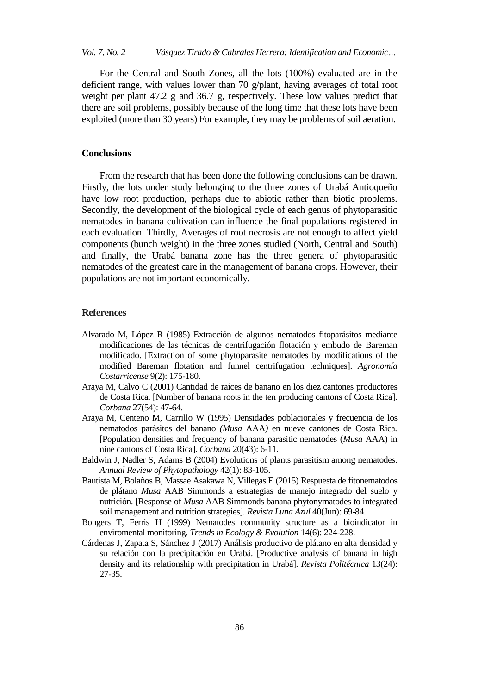For the Central and South Zones, all the lots (100%) evaluated are in the deficient range, with values lower than 70 g/plant, having averages of total root weight per plant 47.2 g and 36.7 g, respectively. These low values predict that there are soil problems, possibly because of the long time that these lots have been exploited (more than 30 years) For example, they may be problems of soil aeration.

# **Conclusions**

From the research that has been done the following conclusions can be drawn. Firstly, the lots under study belonging to the three zones of Urabá Antioqueño have low root production, perhaps due to abiotic rather than biotic problems. Secondly, the development of the biological cycle of each genus of phytoparasitic nematodes in banana cultivation can influence the final populations registered in each evaluation. Thirdly, Averages of root necrosis are not enough to affect yield components (bunch weight) in the three zones studied (North, Central and South) and finally, the Urabá banana zone has the three genera of phytoparasitic nematodes of the greatest care in the management of banana crops. However, their populations are not important economically.

## **References**

- Alvarado M, López R (1985) Extracción de algunos nematodos fitoparásitos mediante modificaciones de las técnicas de centrifugación flotación y embudo de Bareman modificado. [Extraction of some phytoparasite nematodes by modifications of the modified Bareman flotation and funnel centrifugation techniques]. *Agronomía Costarricense* 9(2): 175-180.
- Araya M, Calvo C (2001) Cantidad de raíces de banano en los diez cantones productores de Costa Rica. [Number of banana roots in the ten producing cantons of Costa Rica]. *Corbana* 27(54): 47-64.
- Araya M, Centeno M, Carrillo W (1995) Densidades poblacionales y frecuencia de los nematodos parásitos del banano *(Musa* AAA*)* en nueve cantones de Costa Rica*.* [Population densities and frequency of banana parasitic nematodes (*Musa* AAA) in nine cantons of Costa Rica]. *Corbana* 20(43): 6-11.
- Baldwin J, Nadler S, Adams B (2004) Evolutions of plants parasitism among nematodes. *Annual Review of Phytopathology* 42(1): 83-105.
- Bautista M, Bolaños B, Massae Asakawa N, Villegas E (2015) Respuesta de fitonematodos de plátano *Musa* AAB Simmonds a estrategias de manejo integrado del suelo y nutrición. [Response of *Musa* AAB Simmonds banana phytonymatodes to integrated soil management and nutrition strategies]. *Revista Luna Azul* 40(Jun): 69-84.
- Bongers T, Ferris H (1999) Nematodes community structure as a bioindicator in enviromental monitoring. *Trends in Ecology & Evolution* 14(6): 224-228.
- Cárdenas J, Zapata S, Sánchez J (2017) Análisis productivo de plátano en alta densidad y su relación con la precipitación en Urabá. [Productive analysis of banana in high density and its relationship with precipitation in Urabá]. *Revista Politécnica* 13(24): 27-35.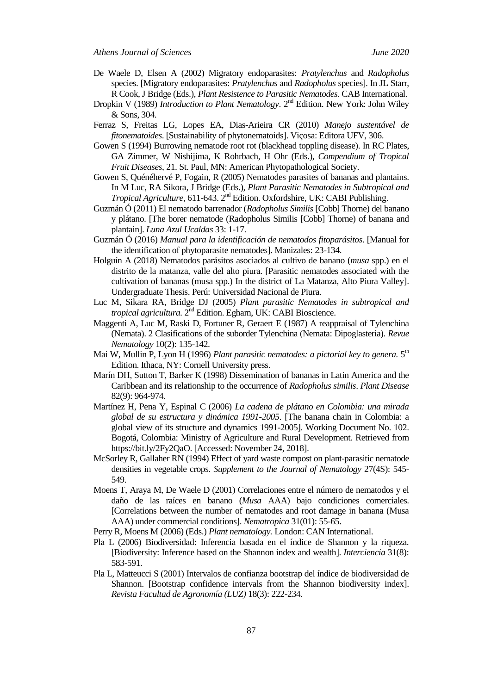- De Waele D, Elsen A (2002) Migratory endoparasites: *Pratylenchus* and *Radopholus* species. [Migratory endoparasites: *Pratylenchus* and *Radopholus* species]. In JL Starr, R Cook, J Bridge (Eds.), *Plant Resistence to Parasitic Nematodes*. CAB International.
- Dropkin V (1989) *Introduction to Plant Nematology*. 2<sup>nd</sup> Edition. New York: John Wiley & Sons, 304.
- Ferraz S, Freitas LG, Lopes EA, Dias-Arieira CR (2010) *Manejo sustentável de fitonematoides*. [Sustainability of phytonematoids]. Viçosa: Editora UFV, 306.
- Gowen S (1994) Burrowing nematode root rot (blackhead toppling disease). In RC Plates, GA Zimmer, W Nishijima, K Rohrbach, H Ohr (Eds.), *Compendium of Tropical Fruit Diseases*, 21. St. Paul, MN: American Phytopathological Society.
- Gowen S, Quénéhervé P, Fogain, R (2005) Nematodes parasites of bananas and plantains. In M Luc, RA Sikora, J Bridge (Eds.), *Plant Parasitic Nematodes in Subtropical and Tropical Agriculture,* 611-643. 2<sup>nd</sup> Edition. Oxfordshire, UK: CABI Publishing.
- Guzmán Ó (2011) El nematodo barrenador (*Radopholus Similis* [Cobb] Thorne) del banano y plátano. [The borer nematode (Radopholus Similis [Cobb] Thorne) of banana and plantain]. *Luna Azul Ucaldas* 33: 1-17.
- Guzmán Ó (2016) *Manual para la identificación de nematodos fitoparásitos*. [Manual for the identification of phytoparasite nematodes]. Manizales: 23-134.
- Holguín A (2018) Nematodos parásitos asociados al cultivo de banano (*musa* spp.) en el distrito de la matanza, valle del alto piura. [Parasitic nematodes associated with the cultivation of bananas (musa spp.) In the district of La Matanza, Alto Piura Valley]. Undergraduate Thesis. Perú: Universidad Nacional de Piura.
- Luc M, Sikara RA, Bridge DJ (2005) *Plant parasitic Nematodes in subtropical and* tropical agricultura. 2<sup>nd</sup> Edition. Egham, UK: CABI Bioscience.
- Maggenti A, Luc M, Raski D, Fortuner R, Geraert E (1987) A reappraisal of Tylenchina (Nemata). 2 Clasifications of the suborder Tylenchina (Nemata: Dipoglasteria). *Revue Nematology* 10(2): 135-142.
- Mai W, Mullin P, Lyon H (1996) *Plant parasitic nematodes: a pictorial key to genera.* 5 th Edition. Ithaca, NY: Cornell University press.
- Marín DH, Sutton T, Barker K (1998) Dissemination of bananas in Latin America and the Caribbean and its relationship to the occurrence of *Radopholus similis*. *Plant Disease* 82(9): 964-974.
- Martínez H, Pena Y, Espinal C (2006) *La cadena de plátano en Colombia: una mirada global de su estructura y dinámica 1991-2005*. [The banana chain in Colombia: a global view of its structure and dynamics 1991-2005]. Working Document No. 102. Bogotá, Colombia: Ministry of Agriculture and Rural Development. Retrieved from [https://bit.ly/2Fy2QaO.](https://bit.ly/2Fy2QaO) [Accessed: November 24, 2018].
- McSorley R, Gallaher RN (1994) Effect of yard waste compost on plant-parasitic nematode densities in vegetable crops. *Supplement to the Journal of Nematology* 27(4S): 545- 549.
- Moens T, Araya M, De Waele D (2001) Correlaciones entre el número de nematodos y el daño de las raíces en banano (*Musa* AAA) bajo condiciones comerciales. [Correlations between the number of nematodes and root damage in banana (Musa AAA) under commercial conditions]. *Nematropica* 31(01): 55-65.
- Perry R, Moens M (2006) (Eds.) *Plant nematology.* London: CAN International.
- Pla L (2006) Biodiversidad: Inferencia basada en el índice de Shannon y la riqueza. [Biodiversity: Inference based on the Shannon index and wealth]. *Interciencia* 31(8): 583-591.
- Pla L, Matteucci S (2001) Intervalos de confianza bootstrap del índice de biodiversidad de Shannon. [Bootstrap confidence intervals from the Shannon biodiversity index]. *Revista Facultad de Agronomía (LUZ)* 18(3): 222-234.